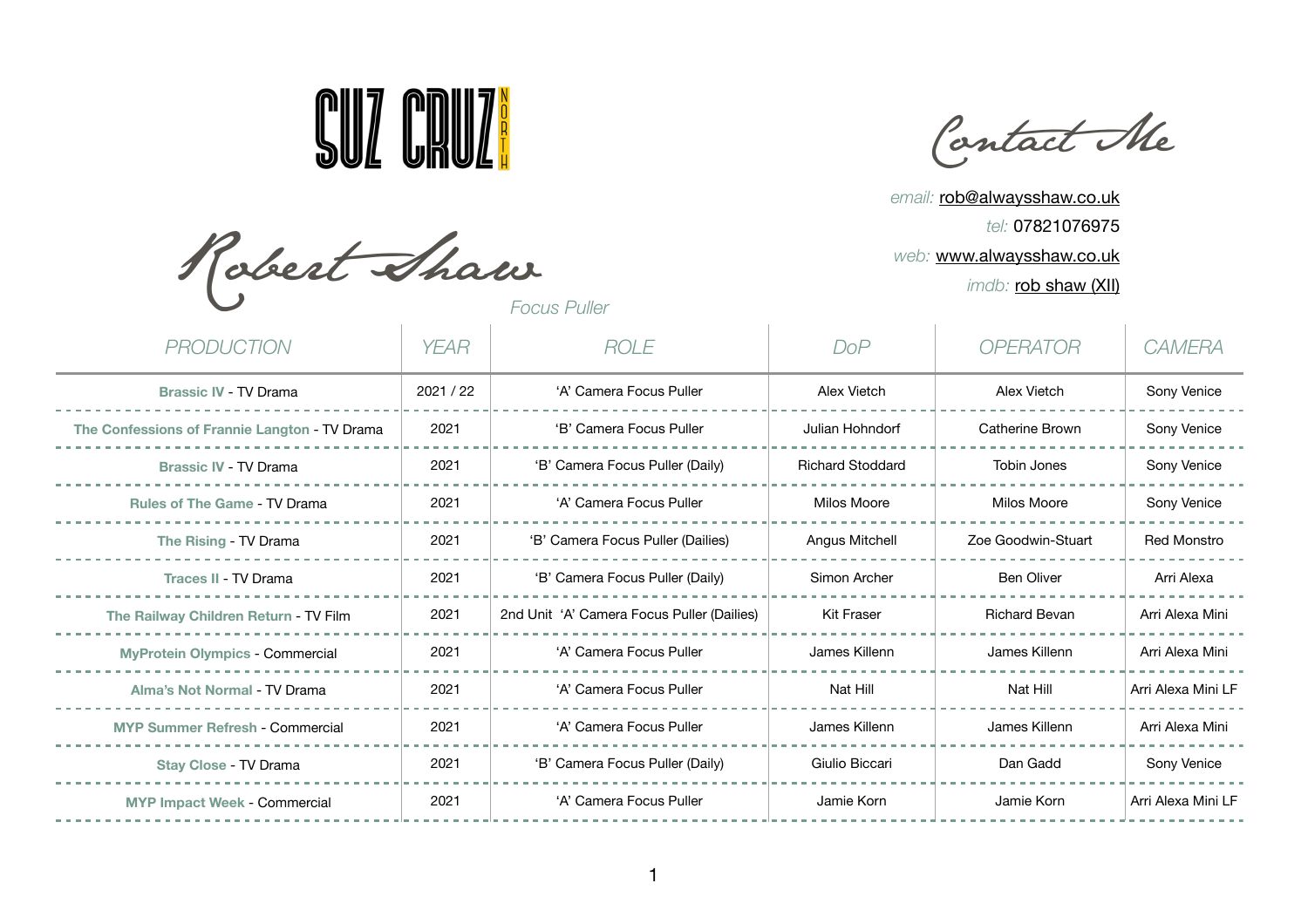

Contact Me

*email:* [rob@alwaysshaw.co.uk](mailto:rob@alwaysshaw.co.uk) *tel:* 07821076975 *web:* [www.alwaysshaw.co.uk](http://www.alwaysshaw.co.uk) *imdb:* [rob shaw \(XII\)](http://www.imdb.com/name/nm3092035/?ref_=fn_al_nm_4)

Robert Shaw

*PRODUCTION YEAR ROLE DoP OPERATOR CAMERA* **Brassic IV** - TV Drama 2021 / 2021 / 22 'A' Camera Focus Puller Alex Vietch Alex Vietch Alex Vietch Sony Venice The Confessions of Frannie Langton - TV Drama | 2021 | 'B' Camera Focus Puller | Julian Hohndorf | Catherine Brown | Sony Venice **Brassic IV - TV Drama** 2021 | 'B' Camera Focus Puller (Daily) | Richard Stoddard | Tobin Jones | Sony Venice Rules of The Game - TV Drama **Notal 2021** 'A' Camera Focus Puller Nilos Moore Nilos Moore Milos Moore Sony Venice The Rising - TV Drama **2021** 2021 'B' Camera Focus Puller (Dailies) Angus Mitchell Zoe Goodwin-Stuart Red Monstro Traces II - TV Drama **2021** 2021 'B' Camera Focus Puller (Daily) Simon Archer Ben Oliver Ben Oliver Arri Alexa The Railway Children Return - TV Film 2021 2nd Unit 'A' Camera Focus Puller (Dailies) Kit Fraser Richard Bevan Arri Alexa Mini MyProtein Olympics - Commercial **1992-1** 2021 'A' Camera Focus Puller James Killenn James Killenn Arri Alexa Mini Alma's Not Normal - TV Drama **Notel Arri Alexa Mini LF** (A' Camera Focus Puller Nat Hill Nat Hill Nat Hill Nat Hill Arri Alexa Mini LF **MYP Summer Refresh - Commercial 1990 | 2021 | A' Camera Focus Puller | James Killenn | James Killenn | Arri Alexa Mini** Stay Close - TV Drama **2021** 'B' Camera Focus Puller (Daily) Giulio Biccari Dan Gadd Sony Venice **MYP Impact Week** - Commercial 2021 | 'A' Camera Focus Puller Jamie Korn Jamie Korn Jamie Korn Arri Alexa Mini LF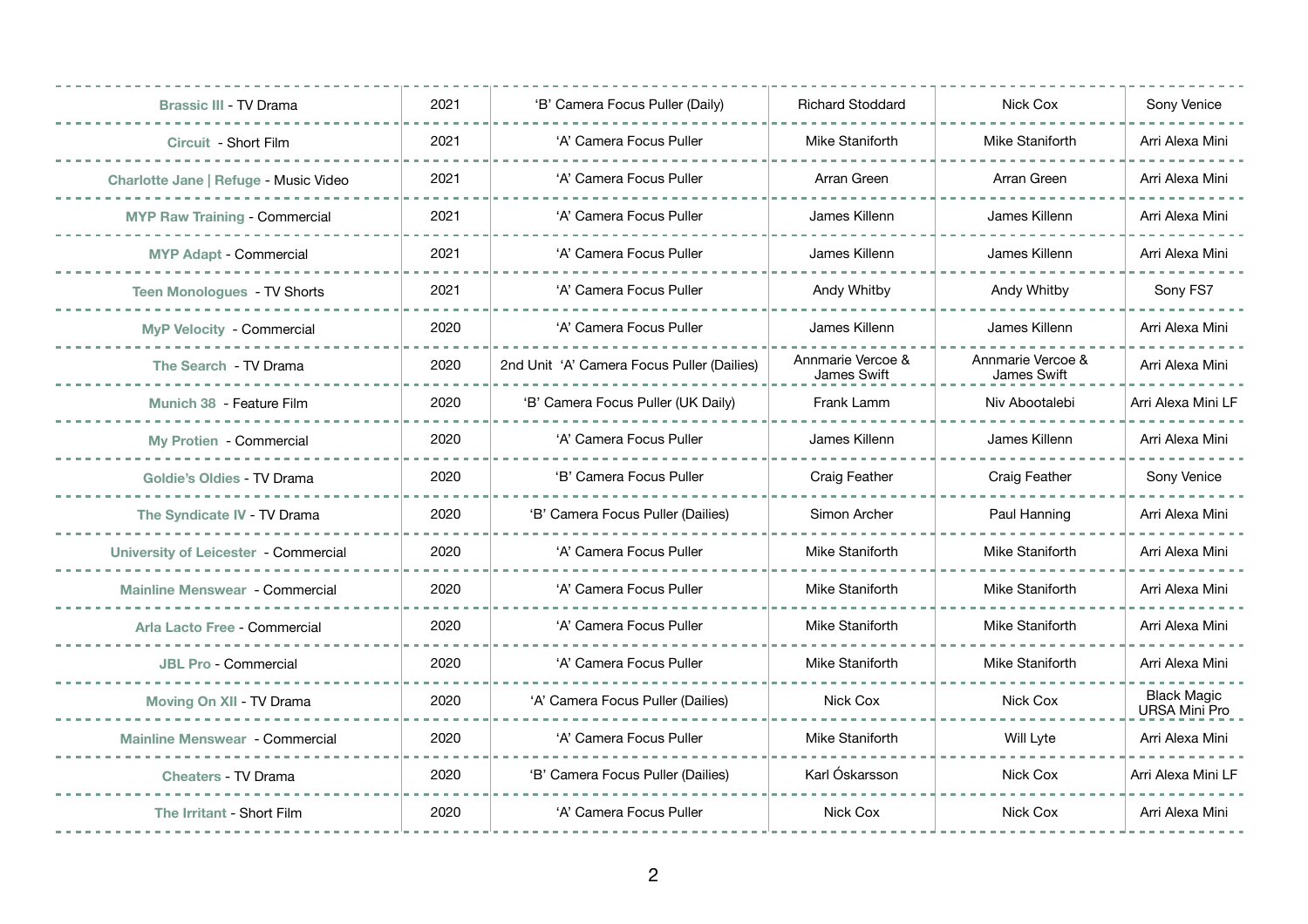| <b>Brassic III - TV Drama</b>               | 2021 | 'B' Camera Focus Puller (Daily)            | <b>Richard Stoddard</b>          | Nick Cox                         | Sony Venice                                |
|---------------------------------------------|------|--------------------------------------------|----------------------------------|----------------------------------|--------------------------------------------|
| Circuit - Short Film                        | 2021 | 'A' Camera Focus Puller                    | Mike Staniforth                  | Mike Staniforth                  | Arri Alexa Mini                            |
| Charlotte Jane   Refuge - Music Video       | 2021 | 'A' Camera Focus Puller                    | Arran Green                      | Arran Green                      | Arri Alexa Mini                            |
| <b>MYP Raw Training - Commercial</b>        | 2021 | 'A' Camera Focus Puller                    | James Killenn                    | James Killenn                    | Arri Alexa Mini                            |
| <b>MYP Adapt - Commercial</b>               | 2021 | 'A' Camera Focus Puller                    | James Killenn                    | James Killenn                    | Arri Alexa Mini                            |
| <b>Teen Monologues - TV Shorts</b>          | 2021 | 'A' Camera Focus Puller                    | Andy Whitby                      | <b>Andy Whitby</b>               | Sony FS7                                   |
| <b>MyP Velocity - Commercial</b>            | 2020 | 'A' Camera Focus Puller                    | James Killenn                    | James Killenn                    | Arri Alexa Mini                            |
| The Search - TV Drama                       | 2020 | 2nd Unit 'A' Camera Focus Puller (Dailies) | Annmarie Vercoe &<br>James Swift | Annmarie Vercoe &<br>James Swift | Arri Alexa Mini                            |
| Munich 38 - Feature Film                    | 2020 | 'B' Camera Focus Puller (UK Daily)         | Frank Lamm                       | Niv Abootalebi                   | Arri Alexa Mini LF                         |
| <b>My Protien - Commercial</b>              | 2020 | 'A' Camera Focus Puller                    | James Killenn                    | James Killenn                    | Arri Alexa Mini                            |
| <b>Goldie's Oldies - TV Drama</b>           | 2020 | 'B' Camera Focus Puller                    | <b>Craig Feather</b>             | <b>Craig Feather</b>             | Sony Venice                                |
| The Syndicate IV - TV Drama                 | 2020 | 'B' Camera Focus Puller (Dailies)          | Simon Archer                     | Paul Hanning                     | Arri Alexa Mini                            |
| <b>University of Leicester - Commercial</b> | 2020 | 'A' Camera Focus Puller                    | Mike Staniforth                  | Mike Staniforth                  | Arri Alexa Mini                            |
| <b>Mainline Menswear - Commercial</b>       | 2020 | 'A' Camera Focus Puller                    | Mike Staniforth                  | Mike Staniforth                  | Arri Alexa Mini                            |
| Arla Lacto Free - Commercial                | 2020 | 'A' Camera Focus Puller                    | Mike Staniforth                  | Mike Staniforth                  | Arri Alexa Mini                            |
| <b>JBL Pro - Commercial</b>                 | 2020 | 'A' Camera Focus Puller                    | Mike Staniforth                  | Mike Staniforth                  | Arri Alexa Mini                            |
| Moving On XII - TV Drama                    | 2020 | 'A' Camera Focus Puller (Dailies)          | Nick Cox                         | Nick Cox                         | <b>Black Magic</b><br><b>URSA Mini Pro</b> |
| <b>Mainline Menswear - Commercial</b>       | 2020 | 'A' Camera Focus Puller                    | Mike Staniforth                  | Will Lyte                        | Arri Alexa Mini                            |
| <b>Cheaters - TV Drama</b>                  | 2020 | 'B' Camera Focus Puller (Dailies)          | Karl Óskarsson                   | Nick Cox                         | Arri Alexa Mini LF                         |
| The Irritant - Short Film                   | 2020 | 'A' Camera Focus Puller                    | Nick Cox                         | Nick Cox                         | Arri Alexa Mini                            |
|                                             |      |                                            |                                  |                                  |                                            |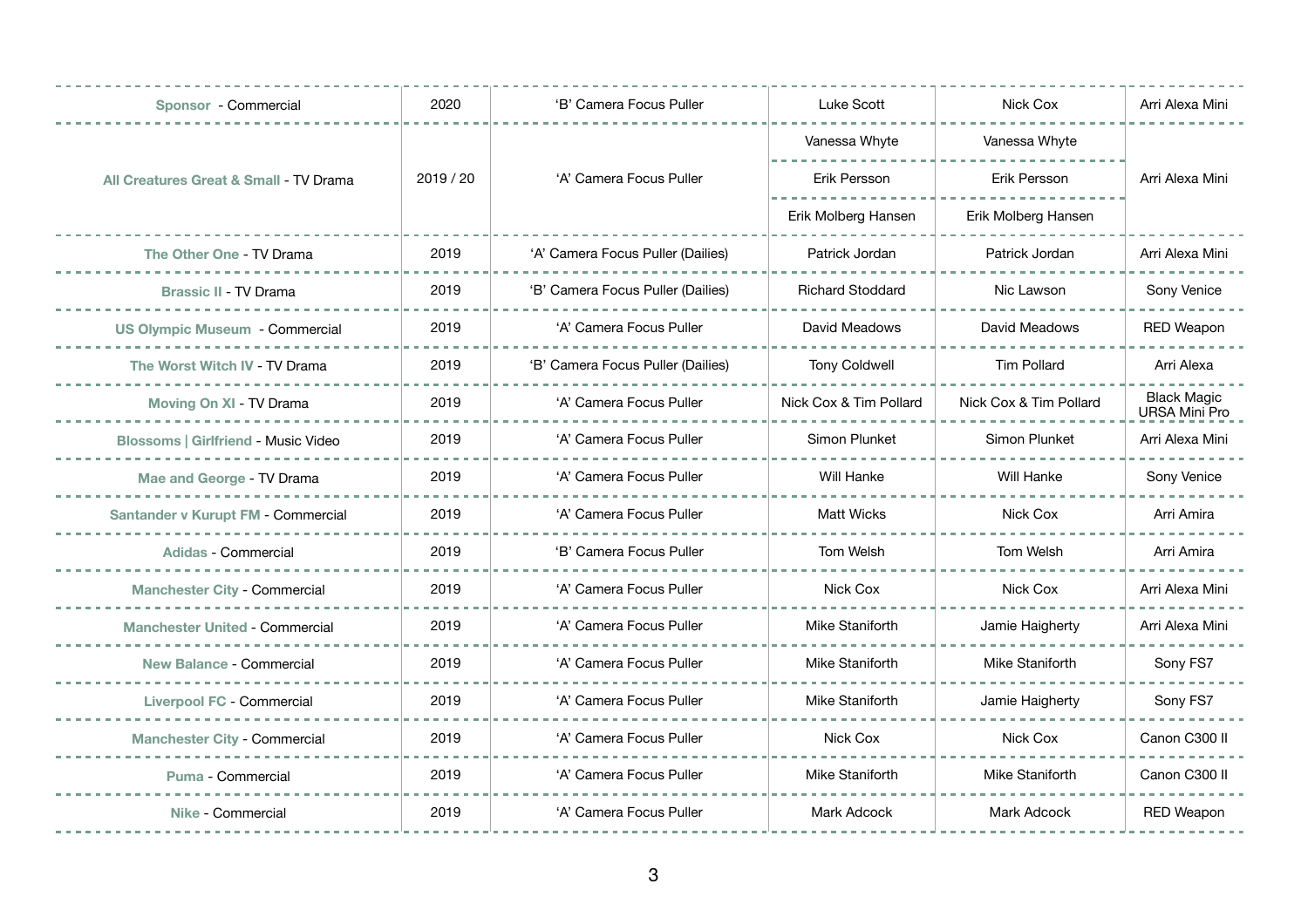| Sponsor - Commercial                              | 2020      | 'B' Camera Focus Puller           | <b>Luke Scott</b>       | Nick Cox               | Arri Alexa Mini                            |
|---------------------------------------------------|-----------|-----------------------------------|-------------------------|------------------------|--------------------------------------------|
| <b>All Creatures Great &amp; Small - TV Drama</b> | 2019 / 20 | 'A' Camera Focus Puller           | Vanessa Whyte           | Vanessa Whyte          | Arri Alexa Mini                            |
|                                                   |           |                                   | Erik Persson            | Erik Persson           |                                            |
|                                                   |           |                                   | Erik Molberg Hansen     | Erik Molberg Hansen    |                                            |
| The Other One - TV Drama                          | 2019      | 'A' Camera Focus Puller (Dailies) | Patrick Jordan          | Patrick Jordan         | Arri Alexa Mini                            |
| <b>Brassic II - TV Drama</b>                      | 2019      | 'B' Camera Focus Puller (Dailies) | <b>Richard Stoddard</b> | Nic Lawson             | Sony Venice                                |
| <b>US Olympic Museum - Commercial</b>             | 2019      | 'A' Camera Focus Puller           | David Meadows           | David Meadows          | <b>RED Weapon</b>                          |
| The Worst Witch IV - TV Drama                     | 2019      | 'B' Camera Focus Puller (Dailies) | <b>Tony Coldwell</b>    | <b>Tim Pollard</b>     | Arri Alexa                                 |
| Moving On XI - TV Drama                           | 2019      | 'A' Camera Focus Puller           | Nick Cox & Tim Pollard  | Nick Cox & Tim Pollard | <b>Black Magic</b><br><b>URSA Mini Pro</b> |
| <b>Blossoms   Girlfriend - Music Video</b>        | 2019      | 'A' Camera Focus Puller           | Simon Plunket           | Simon Plunket          | Arri Alexa Mini                            |
| Mae and George - TV Drama                         | 2019      | 'A' Camera Focus Puller           | Will Hanke              | <b>Will Hanke</b>      | Sony Venice                                |
| Santander v Kurupt FM - Commercial                | 2019      | 'A' Camera Focus Puller           | <b>Matt Wicks</b>       | Nick Cox               | Arri Amira                                 |
| <b>Adidas - Commercial</b>                        | 2019      | 'B' Camera Focus Puller           | Tom Welsh               | Tom Welsh              | Arri Amira                                 |
| <b>Manchester City - Commercial</b>               | 2019      | 'A' Camera Focus Puller           | Nick Cox                | Nick Cox               | Arri Alexa Mini                            |
| <b>Manchester United - Commercial</b>             | 2019      | 'A' Camera Focus Puller           | Mike Staniforth         | Jamie Haigherty        | Arri Alexa Mini                            |
| <b>New Balance - Commercial</b>                   | 2019      | 'A' Camera Focus Puller           | Mike Staniforth         | Mike Staniforth        | Sony FS7                                   |
| <b>Liverpool FC - Commercial</b>                  | 2019      | 'A' Camera Focus Puller           | Mike Staniforth         | Jamie Haigherty        | Sony FS7                                   |
| <b>Manchester City - Commercial</b>               | 2019      | 'A' Camera Focus Puller           | Nick Cox                | Nick Cox               | Canon C300 II                              |
| Puma - Commercial                                 | 2019      | 'A' Camera Focus Puller           | Mike Staniforth         | Mike Staniforth        | Canon C300 II                              |
| Nike - Commercial                                 | 2019      | 'A' Camera Focus Puller           | Mark Adcock             | <b>Mark Adcock</b>     | <b>RED Weapon</b>                          |